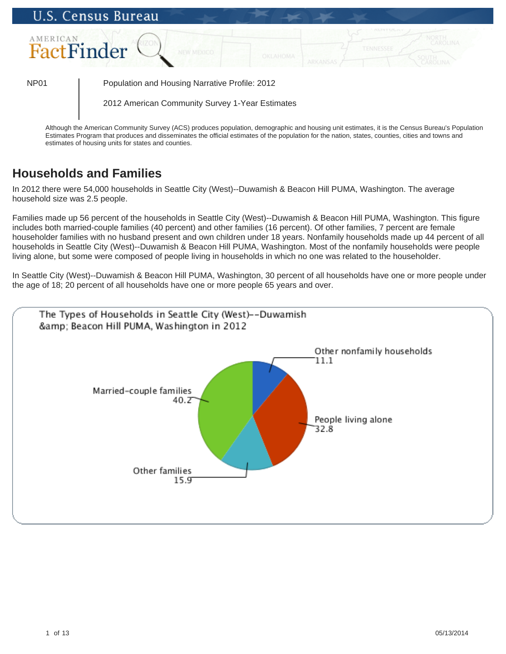

Although the American Community Survey (ACS) produces population, demographic and housing unit estimates, it is the Census Bureau's Population Estimates Program that produces and disseminates the official estimates of the population for the nation, states, counties, cities and towns and estimates of housing units for states and counties.

# **Households and Families**

In 2012 there were 54,000 households in Seattle City (West)--Duwamish & Beacon Hill PUMA, Washington. The average household size was 2.5 people.

Families made up 56 percent of the households in Seattle City (West)--Duwamish & Beacon Hill PUMA, Washington. This figure includes both married-couple families (40 percent) and other families (16 percent). Of other families, 7 percent are female householder families with no husband present and own children under 18 years. Nonfamily households made up 44 percent of all households in Seattle City (West)--Duwamish & Beacon Hill PUMA, Washington. Most of the nonfamily households were people living alone, but some were composed of people living in households in which no one was related to the householder.

In Seattle City (West)--Duwamish & Beacon Hill PUMA, Washington, 30 percent of all households have one or more people under the age of 18; 20 percent of all households have one or more people 65 years and over.

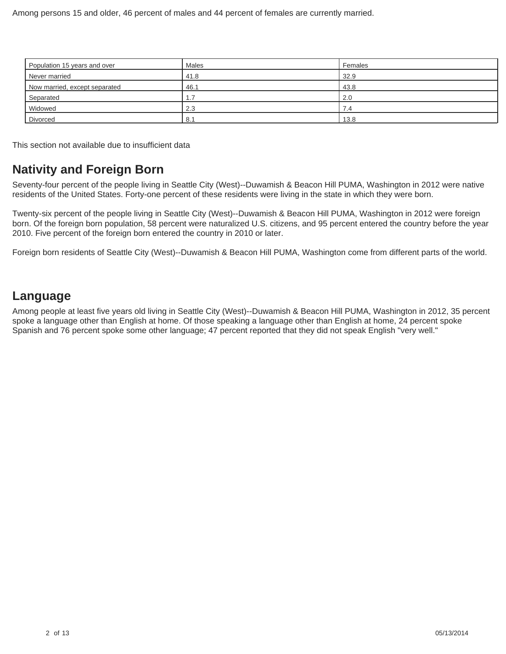| Population 15 years and over  | <b>Males</b> | Females |
|-------------------------------|--------------|---------|
| Never married                 | 41.8         | 32.9    |
| Now married, except separated | 46.1         | 43.8    |
| Separated                     |              | 2.0     |
| Widowed                       | 2.3          | . .4    |
| Divorced                      | 8.1          | 13.8    |

This section not available due to insufficient data

## **Nativity and Foreign Born**

Seventy-four percent of the people living in Seattle City (West)--Duwamish & Beacon Hill PUMA, Washington in 2012 were native residents of the United States. Forty-one percent of these residents were living in the state in which they were born.

Twenty-six percent of the people living in Seattle City (West)--Duwamish & Beacon Hill PUMA, Washington in 2012 were foreign born. Of the foreign born population, 58 percent were naturalized U.S. citizens, and 95 percent entered the country before the year 2010. Five percent of the foreign born entered the country in 2010 or later.

Foreign born residents of Seattle City (West)--Duwamish & Beacon Hill PUMA, Washington come from different parts of the world.

# **Language**

Among people at least five years old living in Seattle City (West)--Duwamish & Beacon Hill PUMA, Washington in 2012, 35 percent spoke a language other than English at home. Of those speaking a language other than English at home, 24 percent spoke Spanish and 76 percent spoke some other language; 47 percent reported that they did not speak English "very well."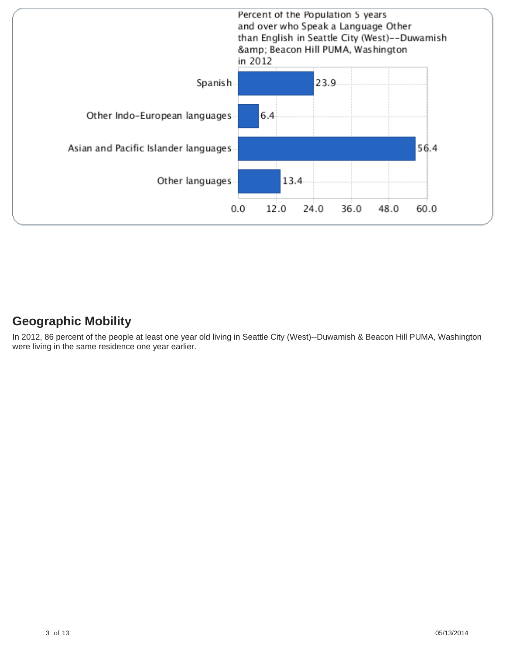

## **Geographic Mobility**

In 2012, 86 percent of the people at least one year old living in Seattle City (West)--Duwamish & Beacon Hill PUMA, Washington were living in the same residence one year earlier.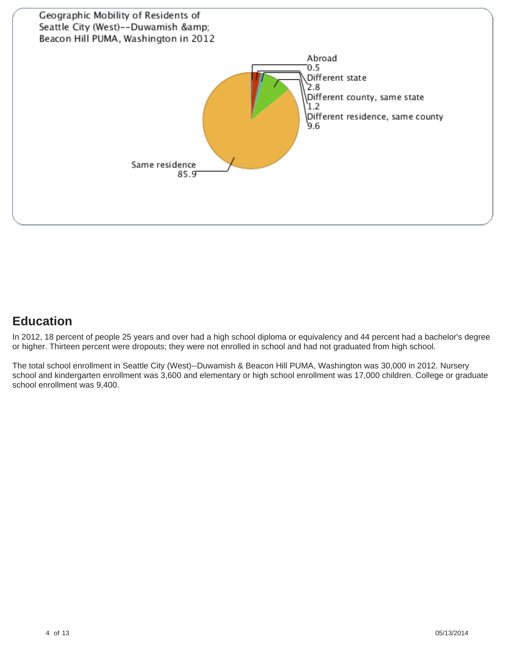

# **Education**

In 2012, 18 percent of people 25 years and over had a high school diploma or equivalency and 44 percent had a bachelor's degree or higher. Thirteen percent were dropouts; they were not enrolled in school and had not graduated from high school.

The total school enrollment in Seattle City (West)--Duwamish & Beacon Hill PUMA, Washington was 30,000 in 2012. Nursery school and kindergarten enrollment was 3,600 and elementary or high school enrollment was 17,000 children. College or graduate school enrollment was 9,400.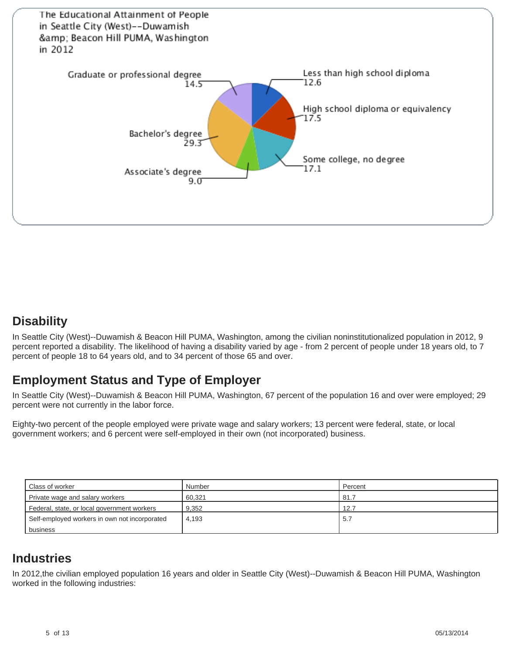

# **Disability**

In Seattle City (West)--Duwamish & Beacon Hill PUMA, Washington, among the civilian noninstitutionalized population in 2012, 9 percent reported a disability. The likelihood of having a disability varied by age - from 2 percent of people under 18 years old, to 7 percent of people 18 to 64 years old, and to 34 percent of those 65 and over.

# **Employment Status and Type of Employer**

In Seattle City (West)--Duwamish & Beacon Hill PUMA, Washington, 67 percent of the population 16 and over were employed; 29 percent were not currently in the labor force.

Eighty-two percent of the people employed were private wage and salary workers; 13 percent were federal, state, or local government workers; and 6 percent were self-employed in their own (not incorporated) business.

| Class of worker                               | Number | Percent |
|-----------------------------------------------|--------|---------|
| Private wage and salary workers               | 60.321 | . 81.7  |
| Federal, state, or local government workers   | 9.352  | 12.7    |
| Self-employed workers in own not incorporated | 4.193  | 5.7     |
| business                                      |        |         |

## **Industries**

In 2012,the civilian employed population 16 years and older in Seattle City (West)--Duwamish & Beacon Hill PUMA, Washington worked in the following industries: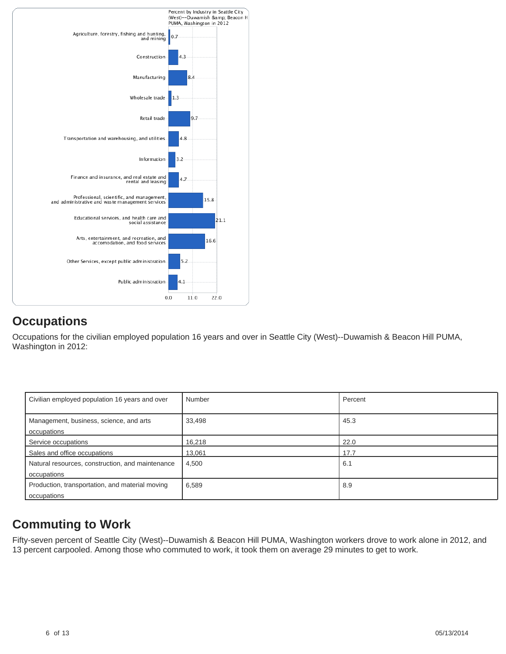

# **Occupations**

Occupations for the civilian employed population 16 years and over in Seattle City (West)--Duwamish & Beacon Hill PUMA, Washington in 2012:

| Civilian employed population 16 years and over                  | Number | Percent |
|-----------------------------------------------------------------|--------|---------|
| Management, business, science, and arts<br>occupations          | 33,498 | 45.3    |
| Service occupations                                             | 16,218 | 22.0    |
| Sales and office occupations                                    | 13,061 | 17.7    |
| Natural resources, construction, and maintenance<br>occupations | 4,500  | 6.1     |
| Production, transportation, and material moving<br>occupations  | 6,589  | 8.9     |

# **Commuting to Work**

Fifty-seven percent of Seattle City (West)--Duwamish & Beacon Hill PUMA, Washington workers drove to work alone in 2012, and 13 percent carpooled. Among those who commuted to work, it took them on average 29 minutes to get to work.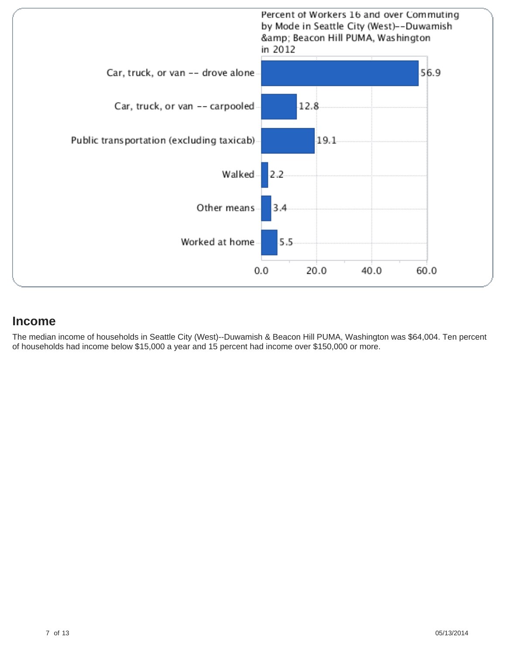

### **Income**

The median income of households in Seattle City (West)--Duwamish & Beacon Hill PUMA, Washington was \$64,004. Ten percent of households had income below \$15,000 a year and 15 percent had income over \$150,000 or more.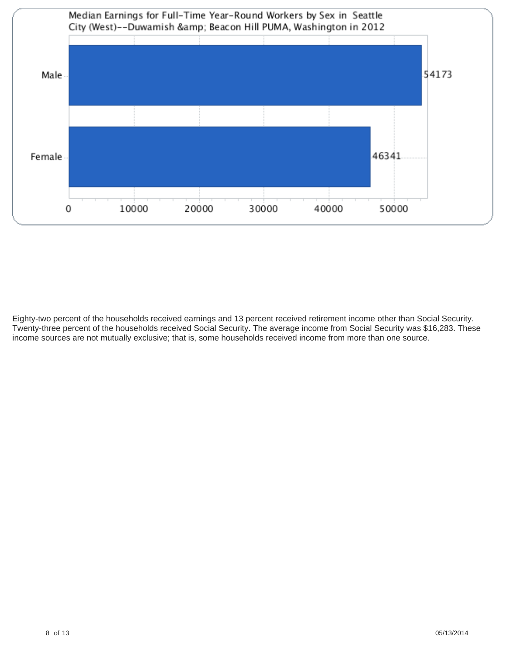

Eighty-two percent of the households received earnings and 13 percent received retirement income other than Social Security. Twenty-three percent of the households received Social Security. The average income from Social Security was \$16,283. These income sources are not mutually exclusive; that is, some households received income from more than one source.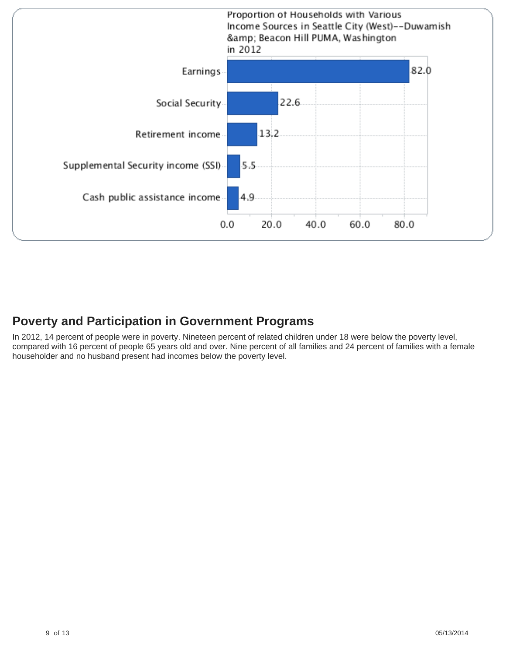

## **Poverty and Participation in Government Programs**

In 2012, 14 percent of people were in poverty. Nineteen percent of related children under 18 were below the poverty level, compared with 16 percent of people 65 years old and over. Nine percent of all families and 24 percent of families with a female householder and no husband present had incomes below the poverty level.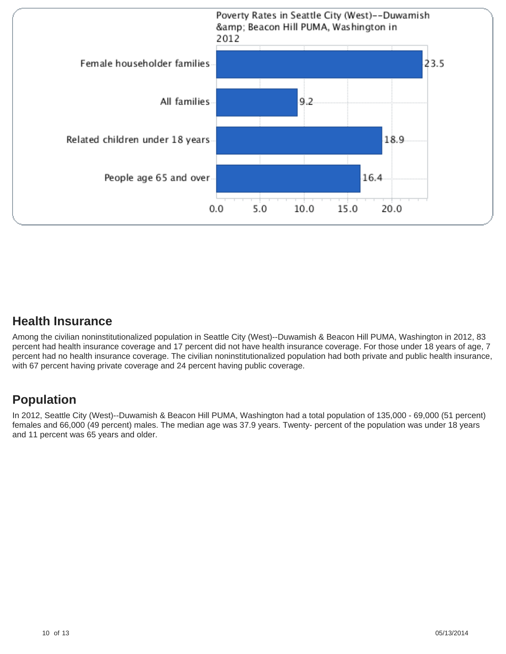

### **Health Insurance**

Among the civilian noninstitutionalized population in Seattle City (West)--Duwamish & Beacon Hill PUMA, Washington in 2012, 83 percent had health insurance coverage and 17 percent did not have health insurance coverage. For those under 18 years of age, 7 percent had no health insurance coverage. The civilian noninstitutionalized population had both private and public health insurance, with 67 percent having private coverage and 24 percent having public coverage.

# **Population**

In 2012, Seattle City (West)--Duwamish & Beacon Hill PUMA, Washington had a total population of 135,000 - 69,000 (51 percent) females and 66,000 (49 percent) males. The median age was 37.9 years. Twenty- percent of the population was under 18 years and 11 percent was 65 years and older.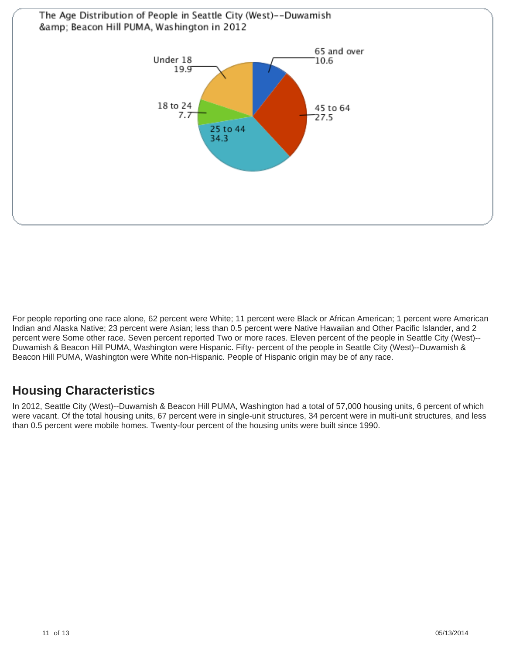

For people reporting one race alone, 62 percent were White; 11 percent were Black or African American; 1 percent were American Indian and Alaska Native; 23 percent were Asian; less than 0.5 percent were Native Hawaiian and Other Pacific Islander, and 2 percent were Some other race. Seven percent reported Two or more races. Eleven percent of the people in Seattle City (West)-- Duwamish & Beacon Hill PUMA, Washington were Hispanic. Fifty- percent of the people in Seattle City (West)--Duwamish & Beacon Hill PUMA, Washington were White non-Hispanic. People of Hispanic origin may be of any race.

# **Housing Characteristics**

In 2012, Seattle City (West)--Duwamish & Beacon Hill PUMA, Washington had a total of 57,000 housing units, 6 percent of which were vacant. Of the total housing units, 67 percent were in single-unit structures, 34 percent were in multi-unit structures, and less than 0.5 percent were mobile homes. Twenty-four percent of the housing units were built since 1990.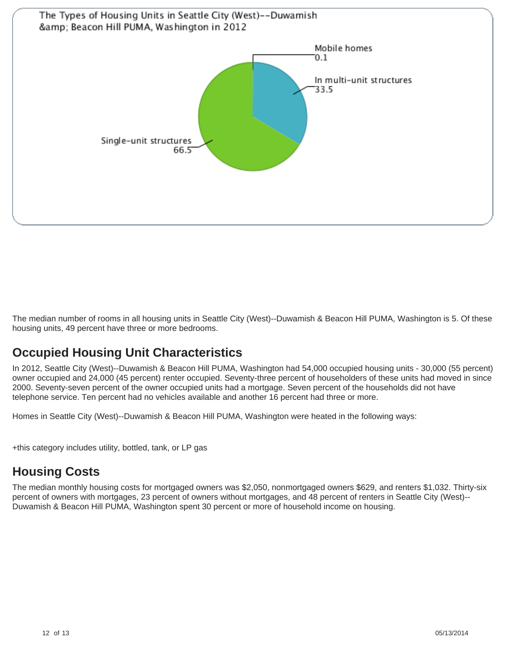

The median number of rooms in all housing units in Seattle City (West)--Duwamish & Beacon Hill PUMA, Washington is 5. Of these housing units, 49 percent have three or more bedrooms.

# **Occupied Housing Unit Characteristics**

In 2012, Seattle City (West)--Duwamish & Beacon Hill PUMA, Washington had 54,000 occupied housing units - 30,000 (55 percent) owner occupied and 24,000 (45 percent) renter occupied. Seventy-three percent of householders of these units had moved in since 2000. Seventy-seven percent of the owner occupied units had a mortgage. Seven percent of the households did not have telephone service. Ten percent had no vehicles available and another 16 percent had three or more.

Homes in Seattle City (West)--Duwamish & Beacon Hill PUMA, Washington were heated in the following ways:

+this category includes utility, bottled, tank, or LP gas

# **Housing Costs**

The median monthly housing costs for mortgaged owners was \$2,050, nonmortgaged owners \$629, and renters \$1,032. Thirty-six percent of owners with mortgages, 23 percent of owners without mortgages, and 48 percent of renters in Seattle City (West)-- Duwamish & Beacon Hill PUMA, Washington spent 30 percent or more of household income on housing.